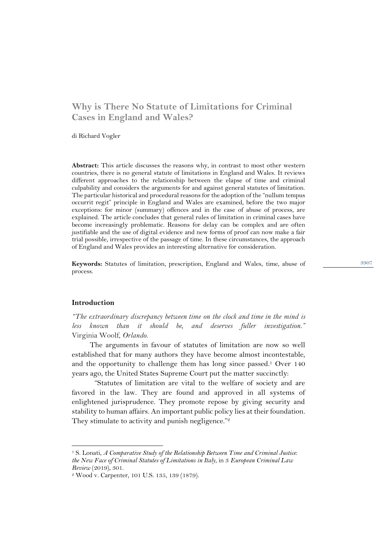# **Why is There No Statute of Limitations for Criminal Cases in England and Wales?**

di Richard Vogler

**Abstract:** This article discusses the reasons why, in contrast to most other western countries, there is no general statute of limitations in England and Wales. It reviews different approaches to the relationship between the elapse of time and criminal culpability and considers the arguments for and against general statutes of limitation. The particular historical and procedural reasons for the adoption of the "nullum tempus occurrit regit" principle in England and Wales are examined, before the two major exceptions: for minor (summary) offences and in the case of abuse of process, are explained. The article concludes that general rules of limitation in criminal cases have become increasingly problematic. Reasons for delay can be complex and are often justifiable and the use of digital evidence and new forms of proof can now make a fair trial possible, irrespective of the passage of time. In these circumstances, the approach of England and Wales provides an interesting alternative for consideration.

**Keywords:** Statutes of limitation, prescription, England and Wales, time, abuse of process.

### **Introduction**

*"The extraordinary discrepancy between time on the clock and time in the mind is less known than it should be, and deserves fuller investigation."*  Virginia Woolf, *Orlando.* 

The arguments in favour of statutes of limitation are now so well established that for many authors they have become almost incontestable, and the opportunity to challenge them has long since passed. <sup>1</sup> Over 140 years ago, the United States Supreme Court put the matter succinctly:

"Statutes of limitation are vital to the welfare of society and are favored in the law. They are found and approved in all systems of enlightened jurisprudence. They promote repose by giving security and stability to human affairs. An important public policy lies at their foundation. They stimulate to activity and punish negligence."<sup>2</sup>

<sup>1</sup> S. Lonati, *A Comparative Study of the Relationship Between Time and Criminal Justice: the New Face of Criminal Statutes of Limitations in Italy*, in 3 *European Criminal Law Review* (2019), 301.

<sup>2</sup> Wood v. Carpenter, 101 U.S. 135, 139 (1879).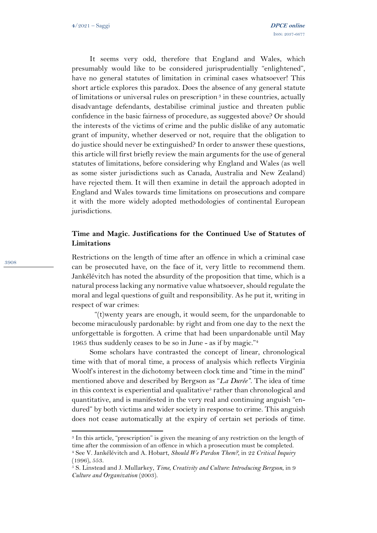It seems very odd, therefore that England and Wales, which presumably would like to be considered jurisprudentially "enlightened", have no general statutes of limitation in criminal cases whatsoever! This short article explores this paradox. Does the absence of any general statute of limitations or universal rules on prescription <sup>3</sup> in these countries, actually disadvantage defendants, destabilise criminal justice and threaten public confidence in the basic fairness of procedure, as suggested above? Or should the interests of the victims of crime and the public dislike of any automatic grant of impunity, whether deserved or not, require that the obligation to do justice should never be extinguished? In order to answer these questions, this article will first briefly review the main arguments for the use of general statutes of limitations, before considering why England and Wales (as well as some sister jurisdictions such as Canada, Australia and New Zealand) have rejected them. It will then examine in detail the approach adopted in England and Wales towards time limitations on prosecutions and compare it with the more widely adopted methodologies of continental European jurisdictions.

## **Time and Magic. Justifications for the Continued Use of Statutes of Limitations**

Restrictions on the length of time after an offence in which a criminal case can be prosecuted have, on the face of it, very little to recommend them. Jankélévitch has noted the absurdity of the proposition that time, which is a natural process lacking any normative value whatsoever, should regulate the moral and legal questions of guilt and responsibility. As he put it, writing in respect of war crimes:

"(t)wenty years are enough, it would seem, for the unpardonable to become miraculously pardonable: by right and from one day to the next the unforgettable is forgotten. A crime that had been unpardonable until May 1965 thus suddenly ceases to be so in June - as if by magic." 4

Some scholars have contrasted the concept of linear, chronological time with that of moral time, a process of analysis which reflects Virginia Woolf's interest in the dichotomy between clock time and "time in the mind" mentioned above and described by Bergson as "*La Durée"*. The idea of time in this context is experiential and qualitative<sup>5</sup> rather than chronological and quantitative, and is manifested in the very real and continuing anguish "endured" by both victims and wider society in response to crime. This anguish does not cease automatically at the expiry of certain set periods of time.

<sup>3</sup> In this article, "prescription" is given the meaning of any restriction on the length of time after the commission of an offence in which a prosecution must be completed.

<sup>4</sup> See V. Jankélévitch and A. Hobart, *Should We Pardon Them?*, in 22 *Critical Inquiry* (1996), 553.

<sup>5</sup> S. Linstead and J. Mullarkey, *Time, Creativity and Culture: Introducing Bergson*, in 9 *Culture and Organization* (2003).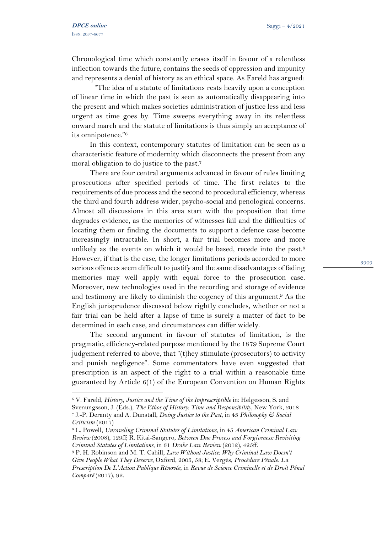Chronological time which constantly erases itself in favour of a relentless inflection towards the future, contains the seeds of oppression and impunity and represents a denial of history as an ethical space. As Fareld has argued:

"The idea of a statute of limitations rests heavily upon a conception of linear time in which the past is seen as automatically disappearing into the present and which makes societies administration of justice less and less urgent as time goes by. Time sweeps everything away in its relentless onward march and the statute of limitations is thus simply an acceptance of its omnipotence." 6

In this context, contemporary statutes of limitation can be seen as a characteristic feature of modernity which disconnects the present from any moral obligation to do justice to the past.<sup>7</sup>

There are four central arguments advanced in favour of rules limiting prosecutions after specified periods of time. The first relates to the requirements of due process and the second to procedural efficiency, whereas the third and fourth address wider, psycho-social and penological concerns. Almost all discussions in this area start with the proposition that time degrades evidence, as the memories of witnesses fail and the difficulties of locating them or finding the documents to support a defence case become increasingly intractable. In short, a fair trial becomes more and more unlikely as the events on which it would be based, recede into the past.<sup>8</sup> However, if that is the case, the longer limitations periods accorded to more serious offences seem difficult to justify and the same disadvantages of fading memories may well apply with equal force to the prosecution case. Moreover, new technologies used in the recording and storage of evidence and testimony are likely to diminish the cogency of this argument.<sup>9</sup> As the English jurisprudence discussed below rightly concludes, whether or not a fair trial can be held after a lapse of time is surely a matter of fact to be determined in each case, and circumstances can differ widely.

The second argument in favour of statutes of limitation, is the pragmatic, efficiency-related purpose mentioned by the 1879 Supreme Court judgement referred to above, that "(t)hey stimulate (prosecutors) to activity and punish negligence". Some commentators have even suggested that prescription is an aspect of the right to a trial within a reasonable time guaranteed by Article 6(1) of the European Convention on Human Rights

<sup>6</sup> V. Fareld, *History, Justice and the Time of the Imprescriptible* in: Helgesson, S. and Svenungsson, J. (Eds.), *The Ethos of History: Time and Responsibility*, New York, 2018 <sup>7</sup> J.-P. Deranty and A. Dunstall, *Doing Justice to the Past*, in 43 *Philosophy & Social Criticism* (2017)

<sup>8</sup> L. Powell, *Unraveling Criminal Statutes of Limitations*, in 45 *American Criminal Law Review* (2008), 129ff; R. Kitai-Sangero, *Between Due Process and Forgiveness: Revisiting Criminal Statutes of Limitations*, in 61 *Drake Law Review* (2012), 425ff.

<sup>9</sup> P. H. Robinson and M. T. Cahill, *Law Without Justice: Why Criminal Law Doesn't Give People What They Deserve*, Oxford, 2005, 58; E. Vergès, *Procédure Pénale. La Prescription De L'Action Publique Rénovée*, in *Revue de Science Criminelle et de Droit Pénal Comparé* (2017), 92.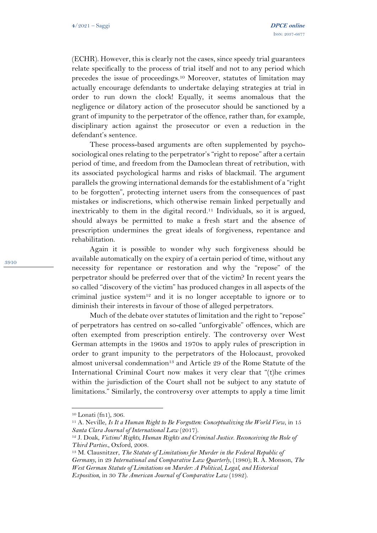(ECHR). However, this is clearly not the cases, since speedy trial guarantees relate specifically to the process of trial itself and not to any period which precedes the issue of proceedings.<sup>10</sup> Moreover, statutes of limitation may actually encourage defendants to undertake delaying strategies at trial in order to run down the clock! Equally, it seems anomalous that the negligence or dilatory action of the prosecutor should be sanctioned by a grant of impunity to the perpetrator of the offence, rather than, for example, disciplinary action against the prosecutor or even a reduction in the defendant's sentence.

These process-based arguments are often supplemented by psychosociological ones relating to the perpetrator's "right to repose" after a certain period of time, and freedom from the Damoclean threat of retribution, with its associated psychological harms and risks of blackmail. The argument parallels the growing international demands for the establishment of a "right to be forgotten", protecting internet users from the consequences of past mistakes or indiscretions, which otherwise remain linked perpetually and inextricably to them in the digital record. <sup>11</sup> Individuals, so it is argued, should always be permitted to make a fresh start and the absence of prescription undermines the great ideals of forgiveness, repentance and rehabilitation.

Again it is possible to wonder why such forgiveness should be available automatically on the expiry of a certain period of time, without any necessity for repentance or restoration and why the "repose" of the perpetrator should be preferred over that of the victim? In recent years the so called "discovery of the victim" has produced changes in all aspects of the criminal justice system<sup>12</sup> and it is no longer acceptable to ignore or to diminish their interests in favour of those of alleged perpetrators.

Much of the debate over statutes of limitation and the right to "repose" of perpetrators has centred on so-called "unforgivable" offences, which are often exempted from prescription entirely. The controversy over West German attempts in the 1960s and 1970s to apply rules of prescription in order to grant impunity to the perpetrators of the Holocaust, provoked almost universal condemnation<sup>13</sup> and Article 29 of the Rome Statute of the International Criminal Court now makes it very clear that "(t)he crimes within the jurisdiction of the Court shall not be subject to any statute of limitations." Similarly, the controversy over attempts to apply a time limit

<sup>10</sup> Lonati (fn1), 306.

<sup>11</sup> A. Neville, *Is It a Human Right to Be Forgotten: Conceptualizing the World View*, in 15 *Santa Clara Journal of International Law* (2017).

<sup>12</sup> J. Doak, *Victims' Rights, Human Rights and Criminal Justice. Reconceiving the Role of Third Parties.*, Oxford, 2008.

<sup>13</sup> M. Clausnitzer, *The Statute of Limitations for Murder in the Federal Republic of Germany*, in 29 *International and Comparative Law Quarterly,* (1980); R. A. Monson, *The West German Statute of Limitations on Murder: A Political, Legal, and Historical Exposition*, in 30 *The American Journal of Comparative Law* (1982).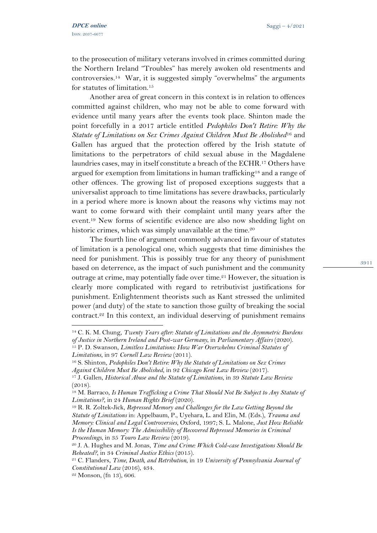to the prosecution of military veterans involved in crimes committed during the Northern Ireland "Troubles" has merely awoken old resentments and controversies.<sup>14</sup> War, it is suggested simply "overwhelms" the arguments for statutes of limitation.<sup>15</sup>

Another area of great concern in this context is in relation to offences committed against children, who may not be able to come forward with evidence until many years after the events took place. Shinton made the point forcefully in a 2017 article entitled *Pedophiles Don't Retire: Why the Statute of Limitations on Sex Crimes Against Children Must Be Abolished*<sup>16</sup> and Gallen has argued that the protection offered by the Irish statute of limitations to the perpetrators of child sexual abuse in the Magdalene laundries cases, may in itself constitute a breach of the ECHR.<sup>17</sup> Others have argued for exemption from limitations in human trafficking<sup>18</sup> and a range of other offences. The growing list of proposed exceptions suggests that a universalist approach to time limitations has severe drawbacks, particularly in a period where more is known about the reasons why victims may not want to come forward with their complaint until many years after the event. <sup>19</sup> New forms of scientific evidence are also now shedding light on historic crimes, which was simply unavailable at the time. 20

The fourth line of argument commonly advanced in favour of statutes of limitation is a penological one, which suggests that time diminishes the need for punishment. This is possibly true for any theory of punishment based on deterrence, as the impact of such punishment and the community outrage at crime, may potentially fade over time.<sup>21</sup> However, the situation is clearly more complicated with regard to retributivist justifications for punishment. Enlightenment theorists such as Kant stressed the unlimited power (and duty) of the state to sanction those guilty of breaking the social contract.<sup>22</sup> In this context, an individual deserving of punishment remains

3911

<sup>14</sup> C. K. M. Chung, *Twenty Years after: Statute of Limitations and the Asymmetric Burdens of Justice in Northern Ireland and Post-war Germany*, in *Parliamentary Affairs* (2020).

<sup>15</sup> P. D. Swanson, *Limitless Limitations: How War Overwhelms Criminal Statutes of Limitations*, in 97 *Cornell Law Review* (2011).

<sup>16</sup> S. Shinton, *Pedophiles Don't Retire: Why the Statute of Limitations on Sex Crimes Against Children Must Be Abolished*, in 92 *Chicago Kent Law Review* (2017).

<sup>17</sup> J. Gallen, *Historical Abuse and the Statute of Limitations*, in 39 *Statute Law Review*  $(2018).$ 

<sup>18</sup> M. Barraco, *Is Human Trafficking a Crime That Should Not Be Subject to Any Statute of Limitations?*, in 24 *Human Rights Brief* (2020).

<sup>19</sup> R. R. Zoltek-Jick, *Repressed Memory and Challenges for the Law Getting Beyond the Statute of Limitations* in: Appelbaum, P., Uyehara, L. and Elin, M. (Eds.), *Trauma and Memory: Clinical and Legal Controversies*, Oxford, 1997; S. L. Malone, *Just How Reliable Is the Human Memory: The Admissibility of Recovered Repressed Memories in Criminal Proceedings*, in 35 *Touro Law Review* (2019).

<sup>20</sup> J. A. Hughes and M. Jonas, *Time and Crime: Which Cold-case Investigations Should Be Reheated?*, in 34 *Criminal Justice Ethics* (2015).

<sup>21</sup> C. Flanders, *Time, Death, and Retribution*, in 19 *University of Pennsylvania Journal of Constitutional Law* (2016), 434.

 $22$  Monson, (fn 13), 606.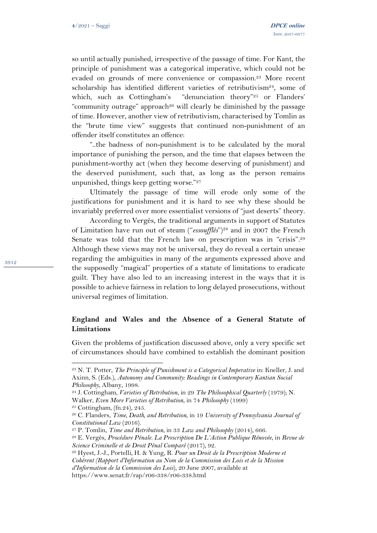so until actually punished, irrespective of the passage of time. For Kant, the principle of punishment was a categorical imperative, which could not be evaded on grounds of mere convenience or compassion.<sup>23</sup> More recent scholarship has identified different varieties of retributivism<sup>24</sup>, some of which, such as Cottingham's "denunciation theory"<sup>25</sup> or Flanders' "community outrage" approach<sup>26</sup> will clearly be diminished by the passage of time. However, another view of retributivism, characterised by Tomlin as the "brute time view" suggests that continued non-punishment of an offender itself constitutes an offence:

"..the badness of non-punishment is to be calculated by the moral importance of punishing the person, and the time that elapses between the punishment-worthy act (when they become deserving of punishment) and the deserved punishment, such that, as long as the person remains unpunished, things keep getting worse."<sup>27</sup>

Ultimately the passage of time will erode only some of the justifications for punishment and it is hard to see why these should be invariably preferred over more essentialist versions of "just deserts" theory.

According to Vergès, the traditional arguments in support of Statutes of Limitation have run out of steam ("*essoufflés*")<sup>28</sup> and in 2007 the French Senate was told that the French law on prescription was in "crisis".<sup>29</sup> Although these views may not be universal, they do reveal a certain unease regarding the ambiguities in many of the arguments expressed above and the supposedly "magical" properties of a statute of limitations to eradicate guilt. They have also led to an increasing interest in the ways that it is possible to achieve fairness in relation to long delayed prosecutions, without universal regimes of limitation.

### **England and Wales and the Absence of a General Statute of Limitations**

Given the problems of justification discussed above, only a very specific set of circumstances should have combined to establish the dominant position

<sup>23</sup> N. T. Potter, *The Principle of Punishment is a Categorical Imperative* in: Kneller, J. and Axinn, S. (Eds.), *Autonomy and Community: Readings in Contemporary Kantian Social Philosophy*, Albany, 1998.

<sup>24</sup> J. Cottingham, *Varieties of Retribution*, in 29 *The Philosophical Quarterly* (1979); N. Walker, *Even More Varieties of Retribution*, in 74 *Philosophy* (1999)

<sup>25</sup> Cottingham, (fn.24), 245.

<sup>26</sup> C. Flanders, *Time, Death, and Retribution*, in 19 *University of Pennsylvania Journal of Constitutional Law* (2016).

<sup>27</sup> P. Tomlin, *Time and Retribution*, in 33 *Law and Philosophy* (2014), 666.

<sup>28</sup> E. Vergès, *Procédure Pénale. La Prescription De L'Action Publique Rénovée*, in *Revue de Science Criminelle et de Droit Pénal Comparé* (2017), 92.

<sup>29</sup> Hyest, J.-J., Portelli, H. & Yung, R. *Pour un Droit de la Prescription Moderne et Cohérent (Rapport d'Information au Nom de la Commission des Lois et de la Mission* 

*d'Information de la Commission des Lois*), 20 June 2007, available at

https://www.senat.fr/rap/r06-338/r06-338.html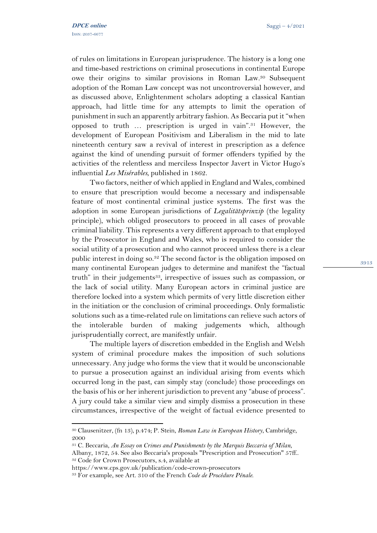of rules on limitations in European jurisprudence. The history is a long one and time-based restrictions on criminal prosecutions in continental Europe owe their origins to similar provisions in Roman Law.<sup>30</sup> Subsequent adoption of the Roman Law concept was not uncontroversial however, and as discussed above, Enlightenment scholars adopting a classical Kantian approach, had little time for any attempts to limit the operation of punishment in such an apparently arbitrary fashion. As Beccaria put it "when opposed to truth … prescription is urged in vain".<sup>31</sup> However, the development of European Positivism and Liberalism in the mid to late nineteenth century saw a revival of interest in prescription as a defence against the kind of unending pursuit of former offenders typified by the activities of the relentless and merciless Inspector Javert in Victor Hugo's influential *Les Misérables*, published in 1862.

Two factors, neither of which applied in England and Wales, combined to ensure that prescription would become a necessary and indispensable feature of most continental criminal justice systems. The first was the adoption in some European jurisdictions of *Legalitätsprinzip* (the legality principle), which obliged prosecutors to proceed in all cases of provable criminal liability. This represents a very different approach to that employed by the Prosecutor in England and Wales, who is required to consider the social utility of a prosecution and who cannot proceed unless there is a clear public interest in doing so.<sup>32</sup> The second factor is the obligation imposed on many continental European judges to determine and manifest the "factual truth" in their judgements<sup>33</sup>, irrespective of issues such as compassion, or the lack of social utility. Many European actors in criminal justice are therefore locked into a system which permits of very little discretion either in the initiation or the conclusion of criminal proceedings. Only formalistic solutions such as a time-related rule on limitations can relieve such actors of the intolerable burden of making judgements which, although jurisprudentially correct, are manifestly unfair.

The multiple layers of discretion embedded in the English and Welsh system of criminal procedure makes the imposition of such solutions unnecessary. Any judge who forms the view that it would be unconscionable to pursue a prosecution against an individual arising from events which occurred long in the past, can simply stay (conclude) those proceedings on the basis of his or her inherent jurisdiction to prevent any "abuse of process". A jury could take a similar view and simply dismiss a prosecution in these circumstances, irrespective of the weight of factual evidence presented to

<sup>30</sup> Clausenitzer, (fn 13), p.474; P. Stein, *Roman Law in European History*, Cambridge, 2000

<sup>31</sup> C. Beccaria, *An Essay on Crimes and Punishments by the Marquis Beccaria of Milan*,

Albany, 1872, 54. See also Beccaria's proposals "Prescription and Prosecution" 57ff.. <sup>32</sup> Code for Crown Prosecutors, s.4, available at

https://www.cps.gov.uk/publication/code-crown-prosecutors

<sup>33</sup> For example, see Art. 310 of the French *Code de Procédure Pénale*.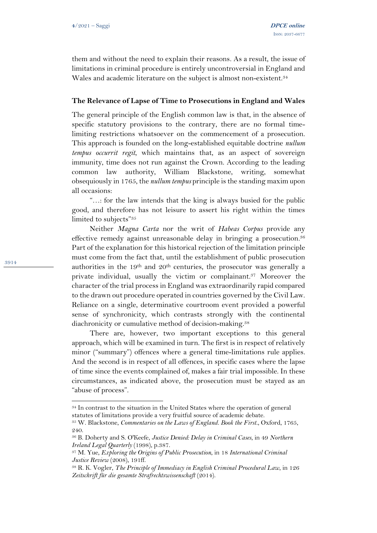them and without the need to explain their reasons. As a result, the issue of limitations in criminal procedure is entirely uncontroversial in England and Wales and academic literature on the subject is almost non-existent.<sup>34</sup>

#### **The Relevance of Lapse of Time to Prosecutions in England and Wales**

The general principle of the English common law is that, in the absence of specific statutory provisions to the contrary, there are no formal timelimiting restrictions whatsoever on the commencement of a prosecution. This approach is founded on the long-established equitable doctrine *nullum tempus occurrit regit*, which maintains that, as an aspect of sovereign immunity, time does not run against the Crown. According to the leading common law authority, William Blackstone, writing, somewhat obsequiously in 1765, the *nullum tempus* principle isthe standing maxim upon all occasions:

"…: for the law intends that the king is always busied for the public good, and therefore has not leisure to assert his right within the times limited to subjects" 35

Neither *Magna Carta* nor the writ of *Habeas Corpus* provide any effective remedy against unreasonable delay in bringing a prosecution.<sup>36</sup> Part of the explanation for this historical rejection of the limitation principle must come from the fact that, until the establishment of public prosecution authorities in the 19<sup>th</sup> and  $20<sup>th</sup>$  centuries, the prosecutor was generally a private individual, usually the victim or complainant. <sup>37</sup> Moreover the character of the trial process in England was extraordinarily rapid compared to the drawn out procedure operated in countries governed by the Civil Law. Reliance on a single, determinative courtroom event provided a powerful sense of synchronicity, which contrasts strongly with the continental diachronicity or cumulative method of decision-making.<sup>38</sup>

There are, however, two important exceptions to this general approach, which will be examined in turn. The first is in respect of relatively minor ("summary") offences where a general time-limitations rule applies. And the second is in respect of all offences, in specific cases where the lapse of time since the events complained of, makes a fair trial impossible. In these circumstances, as indicated above, the prosecution must be stayed as an "abuse of process".

<sup>34</sup> In contrast to the situation in the United States where the operation of general statutes of limitations provide a very fruitful source of academic debate.

<sup>35</sup> W. Blackstone, *Commentaries on the Laws of England. Book the First.*, Oxford, 1765, 240.

<sup>36</sup> B. Doherty and S. O'Keefe, *Justice Denied: Delay in Criminal Cases*, in 49 *Northern Ireland Legal Quarterly* (1998), p.387.

<sup>37</sup> M. Yue, *Exploring the Origins of Public Prosecution*, in 18 *International Criminal Justice Review* (2008), 191ff.

<sup>38</sup> R. K. Vogler, *The Principle of Immediacy in English Criminal Procedural Law*, in 126 *Zeitschrift für die gesamte Strafrechtswissenschaft* (2014).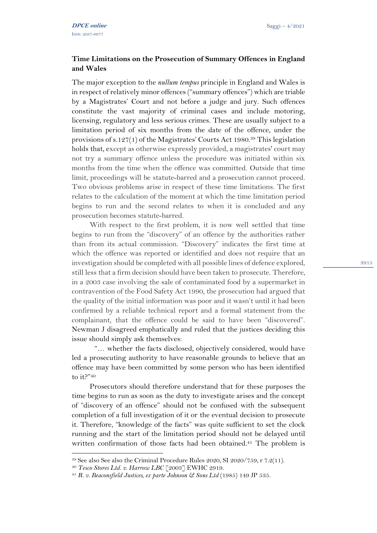## **Time Limitations on the Prosecution of Summary Offences in England and Wales**

The major exception to the *nullum tempus* principle in England and Wales is in respect of relatively minor offences ("summary offences") which are triable by a Magistrates' Court and not before a judge and jury. Such offences constitute the vast majority of criminal cases and include motoring, licensing, regulatory and less serious crimes. These are usually subject to a limitation period of six months from the date of the offence, under the provisions of s.127(1) of the Magistrates' Courts Act 1980. <sup>39</sup> This legislation holds that, except as otherwise expressly provided, a magistrates' court may not try a summary offence unless the procedure was initiated within six months from the time when the offence was committed. Outside that time limit, proceedings will be statute-barred and a prosecution cannot proceed. Two obvious problems arise in respect of these time limitations. The first relates to the calculation of the moment at which the time limitation period begins to run and the second relates to when it is concluded and any prosecution becomes statute-barred.

With respect to the first problem, it is now well settled that time begins to run from the "discovery" of an offence by the authorities rather than from its actual commission. "Discovery" indicates the first time at which the offence was reported or identified and does not require that an investigation should be completed with all possible lines of defence explored, still less that a firm decision should have been taken to prosecute. Therefore, in a 2003 case involving the sale of contaminated food by a supermarket in contravention of the Food Safety Act 1990, the prosecution had argued that the quality of the initial information was poor and it wasn't until it had been confirmed by a reliable technical report and a formal statement from the complainant, that the offence could be said to have been "discovered". Newman J disagreed emphatically and ruled that the justices deciding this issue should simply ask themselves:

"… whether the facts disclosed, objectively considered, would have led a prosecuting authority to have reasonable grounds to believe that an offence may have been committed by some person who has been identified to it?"<sup>40</sup>

Prosecutors should therefore understand that for these purposes the time begins to run as soon as the duty to investigate arises and the concept of "discovery of an offence" should not be confused with the subsequent completion of a full investigation of it or the eventual decision to prosecute it. Therefore, "knowledge of the facts" was quite sufficient to set the clock running and the start of the limitation period should not be delayed until written confirmation of those facts had been obtained. <sup>41</sup> The problem is

<sup>39</sup> See also See also the Criminal Procedure Rules 2020, SI 2020/759, r 7.2(11).

<sup>40</sup> *Tesco Stores Ltd. v. Harrow LBC* [2003] EWHC 2919.

<sup>41</sup> *R. v. Beaconsfield Justices, ex parte Johnson & Sons Ltd* (1985) 149 JP 535.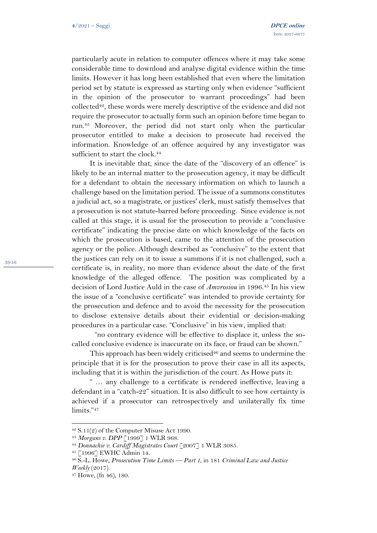particularly acute in relation to computer offences where it may take some considerable time to download and analyse digital evidence within the time limits. However it has long been established that even where the limitation period set by statute is expressed as starting only when evidence "sufficient in the opinion of the prosecutor to warrant proceedings" had been collected42, these words were merely descriptive of the evidence and did not require the prosecutor to actually form such an opinion before time began to run. <sup>43</sup> Moreover, the period did not start only when the particular prosecutor entitled to make a decision to prosecute had received the information. Knowledge of an offence acquired by any investigator was sufficient to start the clock.<sup>44</sup>

It is inevitable that, since the date of the "discovery of an offence" is likely to be an internal matter to the prosecution agency, it may be difficult for a defendant to obtain the necessary information on which to launch a challenge based on the limitation period. The issue of a summons constitutes a judicial act, so a magistrate, or justices' clerk, must satisfy themselves that a prosecution is not statute-barred before proceeding. Since evidence is not called at this stage, it is usual for the prosecution to provide a "conclusive certificate" indicating the precise date on which knowledge of the facts on which the prosecution is based, came to the attention of the prosecution agency or the police. Although described as "conclusive" to the extent that the justices can rely on it to issue a summons if it is not challenged, such a certificate is, in reality, no more than evidence about the date of the first knowledge of the alleged offence. The position was complicated by a decision of Lord Justice Auld in the case of *Amvrosiou* in 1996. <sup>45</sup> In his view the issue of a "conclusive certificate" was intended to provide certainty for the prosecution and defence and to avoid the necessity for the prosecution to disclose extensive details about their evidential or decision-making procedures in a particular case. "Conclusive" in his view, implied that:

"no contrary evidence will be effective to displace it, unless the socalled conclusive evidence is inaccurate on its face, or fraud can be shown."

This approach has been widely criticised $46$  and seems to undermine the principle that it is for the prosecution to prove their case in all its aspects, including that it is within the jurisdiction of the court. As Howe puts it:

" … any challenge to a certificate is rendered ineffective, leaving a defendant in a "catch-22" situation. It is also difficult to see how certainty is achieved if a prosecutor can retrospectively and unilaterally fix time limits."<sup>47</sup>

 $42$  S.11(2) of the Computer Misuse Act 1990.

<sup>43</sup> *Morgans v. DPP* [1999] 1 WLR 968.

<sup>44</sup> *Donnachie v. Cardiff Magistrates Court* [2007] 1 WLR 3085.

<sup>45</sup> [1996] EWHC Admin 14.

<sup>46</sup> S.-L. Howe, *Prosecution Time Limits — Part 1*, in 181 *Criminal Law and Justice Weekly* (2017).

<sup>47</sup> Howe, (fn 46), 180.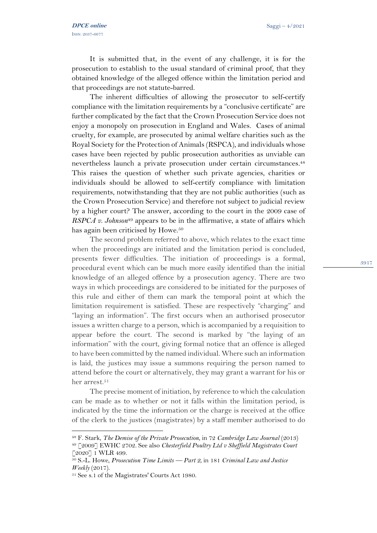It is submitted that, in the event of any challenge, it is for the prosecution to establish to the usual standard of criminal proof, that they obtained knowledge of the alleged offence within the limitation period and that proceedings are not statute-barred.

The inherent difficulties of allowing the prosecutor to self-certify compliance with the limitation requirements by a "conclusive certificate" are further complicated by the fact that the Crown Prosecution Service does not enjoy a monopoly on prosecution in England and Wales. Cases of animal cruelty, for example, are prosecuted by animal welfare charities such as the Royal Society for the Protection of Animals (RSPCA), and individuals whose cases have been rejected by public prosecution authorities as unviable can nevertheless launch a private prosecution under certain circumstances. 48 This raises the question of whether such private agencies, charities or individuals should be allowed to self-certify compliance with limitation requirements, notwithstanding that they are not public authorities (such as the Crown Prosecution Service) and therefore not subject to judicial review by a higher court? The answer, according to the court in the 2009 case of *RSPCA v. Johnson*<sup>49</sup> appears to be in the affirmative, a state of affairs which has again been criticised by Howe.<sup>50</sup>

The second problem referred to above, which relates to the exact time when the proceedings are initiated and the limitation period is concluded, presents fewer difficulties. The initiation of proceedings is a formal, procedural event which can be much more easily identified than the initial knowledge of an alleged offence by a prosecution agency. There are two ways in which proceedings are considered to be initiated for the purposes of this rule and either of them can mark the temporal point at which the limitation requirement is satisfied. These are respectively "charging" and "laying an information". The first occurs when an authorised prosecutor issues a written charge to a person, which is accompanied by a requisition to appear before the court. The second is marked by "the laying of an information" with the court, giving formal notice that an offence is alleged to have been committed by the named individual. Where such an information is laid, the justices may issue a summons requiring the person named to attend before the court or alternatively, they may grant a warrant for his or her arrest.<sup>51</sup>

The precise moment of initiation, by reference to which the calculation can be made as to whether or not it falls within the limitation period, is indicated by the time the information or the charge is received at the office of the clerk to the justices (magistrates) by a staff member authorised to do

<sup>48</sup> F. Stark, *The Demise of the Private Prosecution*, in 72 *Cambridge Law Journal* (2013) <sup>49</sup> [2009] EWHC 2702. See also *Chesterfield Poultry Ltd v Sheffield Magistrates Court* [2020] 1 WLR 499.

<sup>50</sup> S.-L. Howe, *Prosecution Time Limits — Part 2*, in 181 *Criminal Law and Justice Weekly* (2017).

<sup>51</sup> See s.1 of the Magistrates' Courts Act 1980.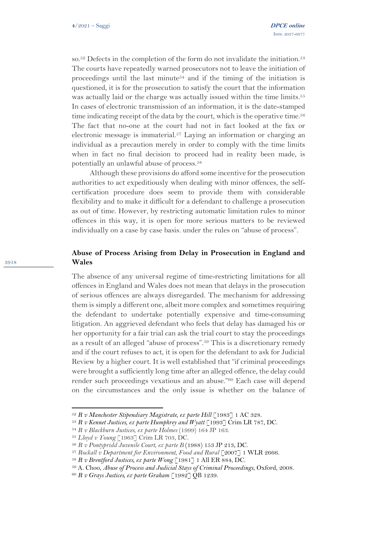so.<sup>52</sup> Defects in the completion of the form do not invalidate the initiation.<sup>53</sup> The courts have repeatedly warned prosecutors not to leave the initiation of proceedings until the last minute<sup>54</sup> and if the timing of the initiation is questioned, it is for the prosecution to satisfy the court that the information was actually laid or the charge was actually issued within the time limits.<sup>55</sup> In cases of electronic transmission of an information, it is the date-stamped time indicating receipt of the data by the court, which is the operative time.<sup>56</sup> The fact that no-one at the court had not in fact looked at the fax or electronic message is immaterial.<sup>57</sup> Laying an information or charging an individual as a precaution merely in order to comply with the time limits when in fact no final decision to proceed had in reality been made, is potentially an unlawful abuse of process.<sup>58</sup>

Although these provisions do afford some incentive for the prosecution authorities to act expeditiously when dealing with minor offences, the selfcertification procedure does seem to provide them with considerable flexibility and to make it difficult for a defendant to challenge a prosecution as out of time. However, by restricting automatic limitation rules to minor offences in this way, it is open for more serious matters to be reviewed individually on a case by case basis. under the rules on "abuse of process".

# **Abuse of Process Arising from Delay in Prosecution in England and Wales**

The absence of any universal regime of time-restricting limitations for all offences in England and Wales does not mean that delays in the prosecution of serious offences are always disregarded. The mechanism for addressing them is simply a different one, albeit more complex and sometimes requiring the defendant to undertake potentially expensive and time-consuming litigation. An aggrieved defendant who feels that delay has damaged his or her opportunity for a fair trial can ask the trial court to stay the proceedings as a result of an alleged "abuse of process".<sup>59</sup> This is a discretionary remedy and if the court refuses to act, it is open for the defendant to ask for Judicial Review by a higher court. It is well established that "if criminal proceedings were brought a sufficiently long time after an alleged offence, the delay could render such proceedings vexatious and an abuse."<sup>60</sup> Each case will depend on the circumstances and the only issue is whether on the balance of

<sup>52</sup> *R v Manchester [Stipendiary](https://www-lexisnexis-com.ezproxy.sussex.ac.uk/uk/legal/#link_68616C735F6D6167697374726174655F69755F3832_) Magistrate, ex parte Hill* [\[1983\] 1 AC 328.](https://www-lexisnexis-com.ezproxy.sussex.ac.uk/uk/legal/search/enhRunRemoteLink.do?linkInfo=F%23GB%23AC%23sel1%251983%25vol%251%25year%251983%25page%25328%25sel2%251%25&A=0.8768578780500741&backKey=20_T188134866&service=citation&ersKey=23_T188134859&langcountry=GB)

<sup>53</sup> *R v Kennet Justices, ex parte Humphrey and Wyatt* [\[1993\] Crim LR 787, DC.](https://www-lexisnexis-com.ezproxy.sussex.ac.uk/uk/legal/#link_68616C735F6D6167697374726174655F69755F3832_)

<sup>54</sup> *R v Blackburn Justices, ex parte Holmes* (1999) 164 JP 163.

<sup>55</sup> *Lloyd v Young* [1963] Crim LR 703, DC.

<sup>56</sup> *R v Pontypridd Juvenile Court, ex parte B* [\(1988\) 153 JP 213,](https://www-lexisnexis-com.ezproxy.sussex.ac.uk/uk/legal/search/enhRunRemoteLink.do?linkInfo=F%23GB%23JP%23sel1%251988%25vol%25153%25year%251988%25page%25213%25sel2%25153%25&A=0.6976580365483973&backKey=20_T188134866&service=citation&ersKey=23_T188134859&langcountry=GB) DC.

<sup>57</sup> *Rockall v Department for Environment, Food and Rural* [\[2007\] 1 WLR 2666.](https://www-lexisnexis-com.ezproxy.sussex.ac.uk/uk/legal/search/enhRunRemoteLink.do?linkInfo=F%23GB%23WLR%23sel1%252007%25vol%251%25year%252007%25page%252666%25sel2%251%25&A=0.35565777082921946&backKey=20_T188134866&service=citation&ersKey=23_T188134859&langcountry=GB)

<sup>58</sup> *R v Brentford Justices, ex parte Wong* [1981] 1 All ER 884, DC.

<sup>59</sup> A. Choo, *Abuse of Process and Judicial Stays of Criminal Proceedings*, Oxford, 2008.

<sup>60</sup> *R v Grays Justices, ex parte Graham* [1982] QB 1239.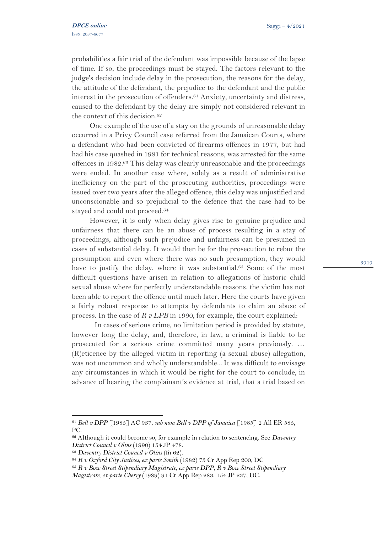probabilities a fair trial of the defendant was impossible because of the lapse of time. If so, the proceedings must be stayed. The factors relevant to the judge's decision include delay in the prosecution, the reasons for the delay, the attitude of the defendant, the prejudice to the defendant and the public interest in the prosecution of offenders. <sup>61</sup> Anxiety, uncertainty and distress, caused to the defendant by the delay are simply not considered relevant in the context of this decision. 62

One example of the use of a stay on the grounds of unreasonable delay occurred in a Privy Council case referred from the Jamaican Courts, where a defendant who had been convicted of firearms offences in 1977, but had had his case quashed in 1981 for technical reasons, was arrested for the same offences in 1982. <sup>63</sup> This delay was clearly unreasonable and the proceedings were ended. In another case where, solely as a result of administrative inefficiency on the part of the prosecuting authorities, proceedings were issued over two years after the alleged offence, this delay was unjustified and unconscionable and so prejudicial to the defence that the case had to be stayed and could not proceed.<sup>64</sup>

However, it is only when delay gives rise to genuine prejudice and unfairness that there can be an abuse of process resulting in a stay of proceedings, although such prejudice and unfairness can be presumed in cases of substantial delay. It would then be for the prosecution to rebut the presumption and even where there was no such presumption, they would have to justify the delay, where it was substantial.<sup>65</sup> Some of the most difficult questions have arisen in relation to allegations of historic child sexual abuse where for perfectly understandable reasons. the victim has not been able to report the offence until much later. Here the courts have given a fairly robust response to attempts by defendants to claim an abuse of process. In the case of *R v LPB* in 1990*,* for example, the court explained:

In cases of serious crime, no limitation period is provided by statute, however long the delay, and, therefore, in law, a criminal is liable to be prosecuted for a serious crime committed many years previously. … (R)eticence by the alleged victim in reporting (a sexual abuse) allegation, was not uncommon and wholly understandable... It was difficult to envisage any circumstances in which it would be right for the court to conclude, in advance of hearing the complainant's evidence at trial, that a trial based on

<sup>61</sup> *Bell v DPP* [1985] AC 937, *sub nom Bell v DPP of Jamaica* [1985] 2 All ER 585, PC.

<sup>62</sup> Although it could become so, for example in relation to sentencing. See *Daventry District Council v Olins* (1990) 154 JP 478.

<sup>63</sup> *Daventry District Council v Olins* (fn 62).

<sup>64</sup> *R v Oxford City Justices, ex parte Smith* (1982) 75 Cr App Rep 200, DC

<sup>65</sup> *R v Bow Street Stipendiary Magistrate, ex parte DPP*, *R v Bow Street Stipendiary Magistrate, ex parte Cherry* (1989) 91 Cr App Rep 283, 154 JP 237, DC.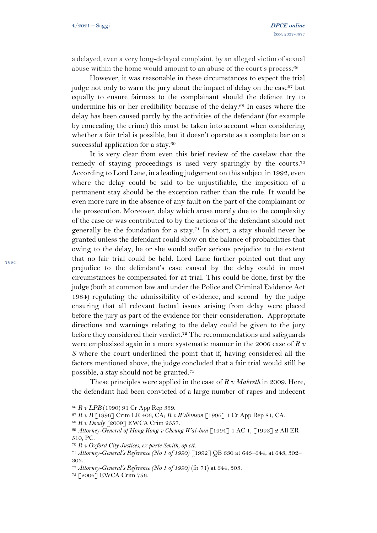a delayed, even a very long-delayed complaint, by an alleged victim of sexual abuse within the home would amount to an abuse of the court's process.<sup>66</sup>

However, it was reasonable in these circumstances to expect the trial judge not only to warn the jury about the impact of delay on the case<sup>67</sup> but equally to ensure fairness to the complainant should the defence try to undermine his or her credibility because of the delay.<sup>68</sup> In cases where the delay has been caused partly by the activities of the defendant (for example by concealing the crime) this must be taken into account when considering whether a fair trial is possible, but it doesn't operate as a complete bar on a successful application for a stay. 69

It is very clear from even this brief review of the caselaw that the remedy of staying proceedings is used very sparingly by the courts. 70 According to Lord Lane, in a leading judgement on this subject in 1992, even where the delay could be said to be unjustifiable, the imposition of a permanent stay should be the exception rather than the rule. It would be even more rare in the absence of any fault on the part of the complainant or the prosecution. Moreover, delay which arose merely due to the complexity of the case or was contributed to by the actions of the defendant should not generally be the foundation for a stay. <sup>71</sup> In short, a stay should never be granted unless the defendant could show on the balance of probabilities that owing to the delay, he or she would suffer serious prejudice to the extent that no fair trial could be held. Lord Lane further pointed out that any prejudice to the defendant's case caused by the delay could in most circumstances be compensated for at trial. This could be done, first by the judge (both at common law and under the Police and Criminal Evidence Act 1984) regulating the admissibility of evidence, and second by the judge ensuring that all relevant factual issues arising from delay were placed before the jury as part of the evidence for their consideration. Appropriate directions and warnings relating to the delay could be given to the jury before they considered their verdict. <sup>72</sup> The recommendations and safeguards were emphasised again in a more systematic manner in the 2006 case of *R v S* where the court underlined the point that if, having considered all the factors mentioned above, the judge concluded that a fair trial would still be possible, a stay should not be granted.<sup>73</sup>

These principles were applied in the case of *R v Makreth* in 2009. Here, the defendant had been convicted of a large number of rapes and indecent

<sup>66</sup> *R v LPB* (1990) 91 Cr App Rep 359.

<sup>67</sup> *R v B* [1996] Crim LR 406, CA; *R v Wilkinson* [1996] 1 Cr App Rep 81, CA.

<sup>68</sup> *R v Doody* [2009] EWCA Crim 2557.

<sup>69</sup> *Attorney-General of Hong Kong v Cheung Wai-bun* [1994] 1 AC 1, [1993] 2 All ER 510, PC.

<sup>70</sup> *R v Oxford City Justices, ex parte Smith, op cit.*

<sup>71</sup> *Attorney-General's Reference (No 1 of 1990)* [1992] QB 630 at 643–644, at 643, 302– 303.

<sup>72</sup> *Attorney-General's Reference (No 1 of 1990)* (fn 71) at 644, 303.

<sup>73</sup> [2006] EWCA Crim 756.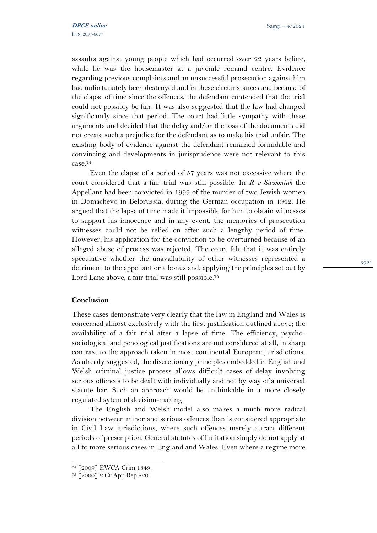assaults against young people which had occurred over 22 years before, while he was the housemaster at a juvenile remand centre. Evidence regarding previous complaints and an unsuccessful prosecution against him had unfortunately been destroyed and in these circumstances and because of the elapse of time since the offences, the defendant contended that the trial could not possibly be fair. It was also suggested that the law had changed significantly since that period. The court had little sympathy with these arguments and decided that the delay and/or the loss of the documents did not create such a prejudice for the defendant as to make his trial unfair. The existing body of evidence against the defendant remained formidable and convincing and developments in jurisprudence were not relevant to this case. 74

Even the elapse of a period of 57 years was not excessive where the court considered that a fair trial was still possible. In *R v Sawoniuk* the Appellant had been convicted in 1999 of the murder of two Jewish women in Domachevo in Belorussia, during the German occupation in 1942. He argued that the lapse of time made it impossible for him to obtain witnesses to support his innocence and in any event, the memories of prosecution witnesses could not be relied on after such a lengthy period of time. However, his application for the conviction to be overturned because of an alleged abuse of process was rejected. The court felt that it was entirely speculative whether the unavailability of other witnesses represented a detriment to the appellant or a bonus and, applying the principles set out by Lord Lane above, a fair trial was still possible. 75

### **Conclusion**

These cases demonstrate very clearly that the law in England and Wales is concerned almost exclusively with the first justification outlined above; the availability of a fair trial after a lapse of time. The efficiency, psychosociological and penological justifications are not considered at all, in sharp contrast to the approach taken in most continental European jurisdictions. As already suggested, the discretionary principles embedded in English and Welsh criminal justice process allows difficult cases of delay involving serious offences to be dealt with individually and not by way of a universal statute bar. Such an approach would be unthinkable in a more closely regulated sytem of decision-making.

The English and Welsh model also makes a much more radical division between minor and serious offences than is considered appropriate in Civil Law jurisdictions, where such offences merely attract different periods of prescription. General statutes of limitation simply do not apply at all to more serious cases in England and Wales. Even where a regime more

<sup>74</sup> [2009] EWCA Crim 1849.

<sup>75</sup> [2000] 2 Cr App Rep 220.